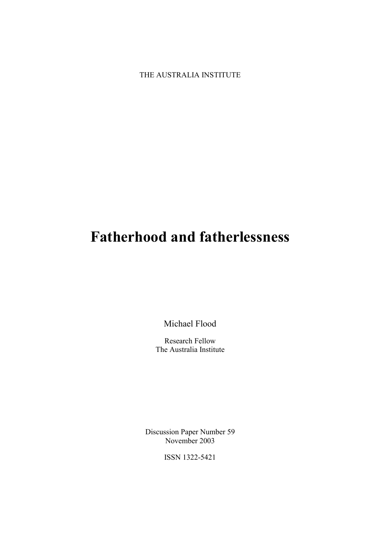THE AUSTRALIA INSTITUTE

# **Fatherhood and fatherlessness**

Michael Flood

Research Fellow The Australia Institute

Discussion Paper Number 59 November 2003

ISSN 1322-5421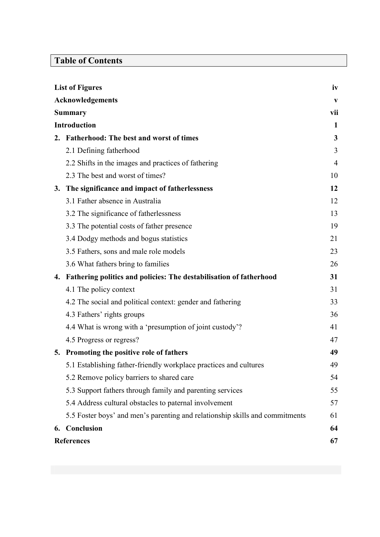# **Table of Contents**

| <b>List of Figures</b> |                                                                              | iv             |
|------------------------|------------------------------------------------------------------------------|----------------|
|                        | <b>Acknowledgements</b>                                                      |                |
| <b>Summary</b>         |                                                                              | vii            |
| <b>Introduction</b>    |                                                                              | 1              |
|                        | 2. Fatherhood: The best and worst of times                                   | 3              |
|                        | 2.1 Defining fatherhood                                                      | 3              |
|                        | 2.2 Shifts in the images and practices of fathering                          | $\overline{4}$ |
|                        | 2.3 The best and worst of times?                                             | 10             |
| 3.                     | The significance and impact of fatherlessness                                | 12             |
|                        | 3.1 Father absence in Australia                                              | 12             |
|                        | 3.2 The significance of fatherlessness                                       | 13             |
|                        | 3.3 The potential costs of father presence                                   | 19             |
|                        | 3.4 Dodgy methods and bogus statistics                                       | 21             |
|                        | 3.5 Fathers, sons and male role models                                       | 23             |
|                        | 3.6 What fathers bring to families                                           | 26             |
| 4.                     | Fathering politics and policies: The destabilisation of fatherhood           | 31             |
|                        | 4.1 The policy context                                                       | 31             |
|                        | 4.2 The social and political context: gender and fathering                   | 33             |
|                        | 4.3 Fathers' rights groups                                                   | 36             |
|                        | 4.4 What is wrong with a 'presumption of joint custody'?                     | 41             |
|                        | 4.5 Progress or regress?                                                     | 47             |
|                        | 5. Promoting the positive role of fathers                                    | 49             |
|                        | 5.1 Establishing father-friendly workplace practices and cultures            | 49             |
|                        | 5.2 Remove policy barriers to shared care                                    | 54             |
|                        | 5.3 Support fathers through family and parenting services                    | 55             |
|                        | 5.4 Address cultural obstacles to paternal involvement                       | 57             |
|                        | 5.5 Foster boys' and men's parenting and relationship skills and commitments | 61             |
| 6.                     | Conclusion                                                                   | 64             |
| <b>References</b>      |                                                                              | 67             |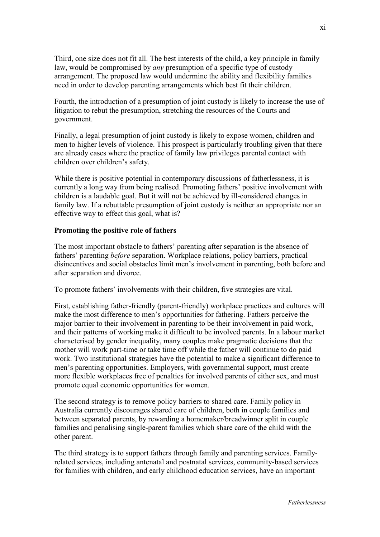Third, one size does not fit all. The best interests of the child, a key principle in family law, would be compromised by *any* presumption of a specific type of custody arrangement. The proposed law would undermine the ability and flexibility families need in order to develop parenting arrangements which best fit their children.

Fourth, the introduction of a presumption of joint custody is likely to increase the use of litigation to rebut the presumption, stretching the resources of the Courts and government.

Finally, a legal presumption of joint custody is likely to expose women, children and men to higher levels of violence. This prospect is particularly troubling given that there are already cases where the practice of family law privileges parental contact with children over children's safety.

While there is positive potential in contemporary discussions of fatherlessness, it is currently a long way from being realised. Promoting fathers' positive involvement with children is a laudable goal. But it will not be achieved by ill-considered changes in family law. If a rebuttable presumption of joint custody is neither an appropriate nor an effective way to effect this goal, what is?

# **Promoting the positive role of fathers**

The most important obstacle to fathers' parenting after separation is the absence of fathers' parenting *before* separation. Workplace relations, policy barriers, practical disincentives and social obstacles limit men's involvement in parenting, both before and after separation and divorce.

To promote fathers' involvements with their children, five strategies are vital.

First, establishing father-friendly (parent-friendly) workplace practices and cultures will make the most difference to men's opportunities for fathering. Fathers perceive the major barrier to their involvement in parenting to be their involvement in paid work, and their patterns of working make it difficult to be involved parents. In a labour market characterised by gender inequality, many couples make pragmatic decisions that the mother will work part-time or take time off while the father will continue to do paid work. Two institutional strategies have the potential to make a significant difference to men's parenting opportunities. Employers, with governmental support, must create more flexible workplaces free of penalties for involved parents of either sex, and must promote equal economic opportunities for women.

The second strategy is to remove policy barriers to shared care. Family policy in Australia currently discourages shared care of children, both in couple families and between separated parents, by rewarding a homemaker/breadwinner split in couple families and penalising single-parent families which share care of the child with the other parent.

The third strategy is to support fathers through family and parenting services. Familyrelated services, including antenatal and postnatal services, community-based services for families with children, and early childhood education services, have an important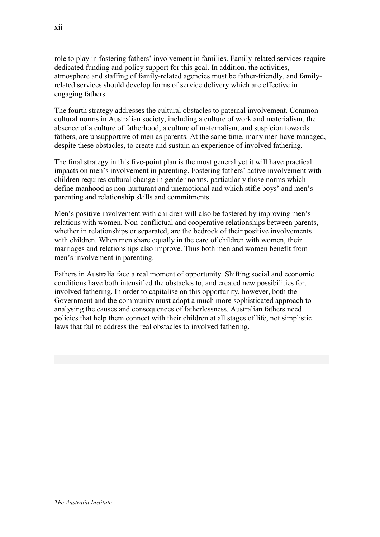role to play in fostering fathers' involvement in families. Family-related services require dedicated funding and policy support for this goal. In addition, the activities, atmosphere and staffing of family-related agencies must be father-friendly, and familyrelated services should develop forms of service delivery which are effective in engaging fathers.

The fourth strategy addresses the cultural obstacles to paternal involvement. Common cultural norms in Australian society, including a culture of work and materialism, the absence of a culture of fatherhood, a culture of maternalism, and suspicion towards fathers, are unsupportive of men as parents. At the same time, many men have managed, despite these obstacles, to create and sustain an experience of involved fathering.

The final strategy in this five-point plan is the most general yet it will have practical impacts on men's involvement in parenting. Fostering fathers' active involvement with children requires cultural change in gender norms, particularly those norms which define manhood as non-nurturant and unemotional and which stifle boys' and men's parenting and relationship skills and commitments.

Men's positive involvement with children will also be fostered by improving men's relations with women. Non-conflictual and cooperative relationships between parents, whether in relationships or separated, are the bedrock of their positive involvements with children. When men share equally in the care of children with women, their marriages and relationships also improve. Thus both men and women benefit from men's involvement in parenting.

Fathers in Australia face a real moment of opportunity. Shifting social and economic conditions have both intensified the obstacles to, and created new possibilities for, involved fathering. In order to capitalise on this opportunity, however, both the Government and the community must adopt a much more sophisticated approach to analysing the causes and consequences of fatherlessness. Australian fathers need policies that help them connect with their children at all stages of life, not simplistic laws that fail to address the real obstacles to involved fathering.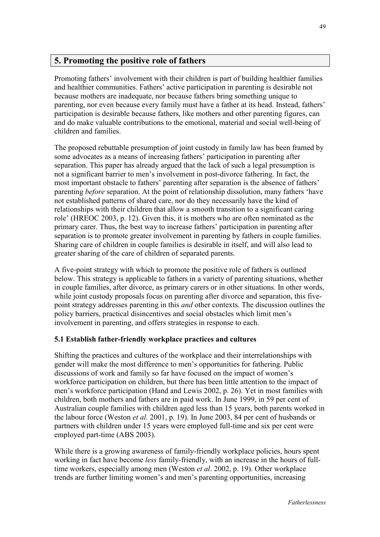# **5. Promoting the positive role of fathers**

Promoting fathers' involvement with their children is part of building healthier families and healthier communities. Fathers' active participation in parenting is desirable not because mothers are inadequate, nor because fathers bring something unique to parenting, nor even because every family must have a father at its head. Instead, fathers' participation is desirable because fathers, like mothers and other parenting figures, can and do make valuable contributions to the emotional, material and social well-being of children and families.

The proposed rebuttable presumption of joint custody in family law has been framed by some advocates as a means of increasing fathers' participation in parenting after separation. This paper has already argued that the lack of such a legal presumption is not a significant barrier to men's involvement in post-divorce fathering. In fact, the most important obstacle to fathers' parenting after separation is the absence of fathers' parenting *before* separation. At the point of relationship dissolution, many fathers 'have not established patterns of shared care, nor do they necessarily have the kind of relationships with their children that allow a smooth transition to a significant caring role' (HREOC 2003, p. 12). Given this, it is mothers who are often nominated as the primary carer. Thus, the best way to increase fathers' participation in parenting after separation is to promote greater involvement in parenting by fathers in couple families. Sharing care of children in couple families is desirable in itself, and will also lead to greater sharing of the care of children of separated parents.

A five-point strategy with which to promote the positive role of fathers is outlined below. This strategy is applicable to fathers in a variety of parenting situations, whether in couple families, after divorce, as primary carers or in other situations. In other words, while joint custody proposals focus on parenting after divorce and separation, this fivepoint strategy addresses parenting in this *and* other contexts. The discussion outlines the policy barriers, practical disincentives and social obstacles which limit men's involvement in parenting, and offers strategies in response to each.

# **5.1 Establish father-friendly workplace practices and cultures**

Shifting the practices and cultures of the workplace and their interrelationships with gender will make the most difference to men's opportunities for fathering. Public discussions of work and family so far have focused on the impact of women's workforce participation on children, but there has been little attention to the impact of men's workforce participation (Hand and Lewis 2002, p. 26). Yet in most families with children, both mothers and fathers are in paid work. In June 1999, in 59 per cent of Australian couple families with children aged less than 15 years, both parents worked in the labour force (Weston *et al.* 2001, p. 19). In June 2003, 84 per cent of husbands or partners with children under 15 years were employed full-time and six per cent were employed part-time (ABS 2003).

While there is a growing awareness of family-friendly workplace policies, hours spent working in fact have become *less* family-friendly, with an increase in the hours of fulltime workers, especially among men (Weston *et al*. 2002, p. 19). Other workplace trends are further limiting women's and men's parenting opportunities, increasing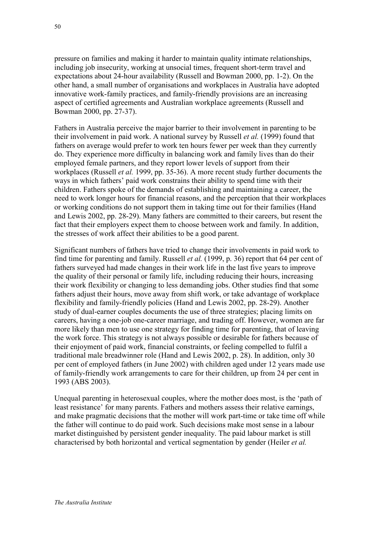pressure on families and making it harder to maintain quality intimate relationships, including job insecurity, working at unsocial times, frequent short-term travel and expectations about 24-hour availability (Russell and Bowman 2000, pp. 1-2). On the other hand, a small number of organisations and workplaces in Australia have adopted innovative work-family practices, and family-friendly provisions are an increasing aspect of certified agreements and Australian workplace agreements (Russell and

Fathers in Australia perceive the major barrier to their involvement in parenting to be their involvement in paid work. A national survey by Russell *et al.* (1999) found that fathers on average would prefer to work ten hours fewer per week than they currently do. They experience more difficulty in balancing work and family lives than do their employed female partners, and they report lower levels of support from their workplaces (Russell *et al.* 1999, pp. 35-36). A more recent study further documents the ways in which fathers' paid work constrains their ability to spend time with their children. Fathers spoke of the demands of establishing and maintaining a career, the need to work longer hours for financial reasons, and the perception that their workplaces or working conditions do not support them in taking time out for their families (Hand and Lewis 2002, pp. 28-29). Many fathers are committed to their careers, but resent the fact that their employers expect them to choose between work and family. In addition, the stresses of work affect their abilities to be a good parent.

Significant numbers of fathers have tried to change their involvements in paid work to find time for parenting and family. Russell *et al.* (1999, p. 36) report that 64 per cent of fathers surveyed had made changes in their work life in the last five years to improve the quality of their personal or family life, including reducing their hours, increasing their work flexibility or changing to less demanding jobs. Other studies find that some fathers adjust their hours, move away from shift work, or take advantage of workplace flexibility and family-friendly policies (Hand and Lewis 2002, pp. 28-29). Another study of dual-earner couples documents the use of three strategies; placing limits on careers, having a one-job one-career marriage, and trading off. However, women are far more likely than men to use one strategy for finding time for parenting, that of leaving the work force. This strategy is not always possible or desirable for fathers because of their enjoyment of paid work, financial constraints, or feeling compelled to fulfil a traditional male breadwinner role (Hand and Lewis 2002, p. 28). In addition, only 30 per cent of employed fathers (in June 2002) with children aged under 12 years made use of family-friendly work arrangements to care for their children, up from 24 per cent in 1993 (ABS 2003).

Unequal parenting in heterosexual couples, where the mother does most, is the 'path of least resistance' for many parents. Fathers and mothers assess their relative earnings, and make pragmatic decisions that the mother will work part-time or take time off while the father will continue to do paid work. Such decisions make most sense in a labour market distinguished by persistent gender inequality. The paid labour market is still characterised by both horizontal and vertical segmentation by gender (Heiler *et al.*

Bowman 2000, pp. 27-37).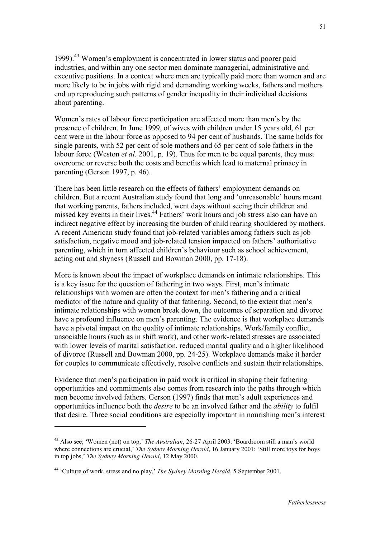1999).<sup>43</sup> Women's employment is concentrated in lower status and poorer paid industries, and within any one sector men dominate managerial, administrative and executive positions. In a context where men are typically paid more than women and are more likely to be in jobs with rigid and demanding working weeks, fathers and mothers end up reproducing such patterns of gender inequality in their individual decisions about parenting.

Women's rates of labour force participation are affected more than men's by the presence of children. In June 1999, of wives with children under 15 years old, 61 per cent were in the labour force as opposed to 94 per cent of husbands. The same holds for single parents, with 52 per cent of sole mothers and 65 per cent of sole fathers in the labour force (Weston *et al.* 2001, p. 19). Thus for men to be equal parents, they must overcome or reverse both the costs and benefits which lead to maternal primacy in parenting (Gerson 1997, p. 46).

There has been little research on the effects of fathers' employment demands on children. But a recent Australian study found that long and 'unreasonable' hours meant that working parents, fathers included, went days without seeing their children and missed key events in their lives.<sup>44</sup> Fathers' work hours and job stress also can have an indirect negative effect by increasing the burden of child rearing shouldered by mothers. A recent American study found that job-related variables among fathers such as job satisfaction, negative mood and job-related tension impacted on fathers' authoritative parenting, which in turn affected children's behaviour such as school achievement, acting out and shyness (Russell and Bowman 2000, pp. 17-18).

More is known about the impact of workplace demands on intimate relationships. This is a key issue for the question of fathering in two ways. First, men's intimate relationships with women are often the context for men's fathering and a critical mediator of the nature and quality of that fathering. Second, to the extent that men's intimate relationships with women break down, the outcomes of separation and divorce have a profound influence on men's parenting. The evidence is that workplace demands have a pivotal impact on the quality of intimate relationships. Work/family conflict, unsociable hours (such as in shift work), and other work-related stresses are associated with lower levels of marital satisfaction, reduced marital quality and a higher likelihood of divorce (Russell and Bowman 2000, pp. 24-25). Workplace demands make it harder for couples to communicate effectively, resolve conflicts and sustain their relationships.

Evidence that men's participation in paid work is critical in shaping their fathering opportunities and commitments also comes from research into the paths through which men become involved fathers. Gerson (1997) finds that men's adult experiences and opportunities influence both the *desire* to be an involved father and the *ability* to fulfil that desire. Three social conditions are especially important in nourishing men's interest

<sup>43</sup> Also see; 'Women (not) on top,' *The Australian*, 26-27 April 2003. 'Boardroom still a man's world where connections are crucial,' *The Sydney Morning Herald*, 16 January 2001; 'Still more toys for boys in top jobs,' *The Sydney Morning Herald*, 12 May 2000.

<sup>44 &#</sup>x27;Culture of work, stress and no play,' *The Sydney Morning Herald*, 5 September 2001.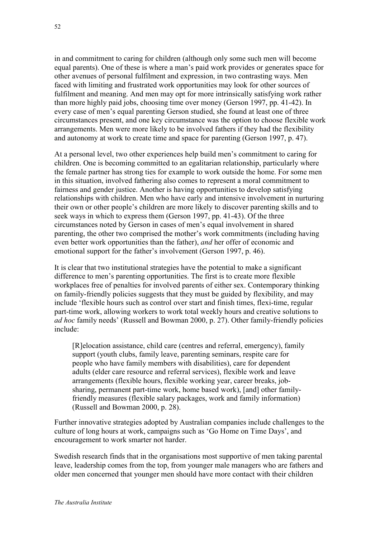in and commitment to caring for children (although only some such men will become equal parents). One of these is where a man's paid work provides or generates space for other avenues of personal fulfilment and expression, in two contrasting ways. Men faced with limiting and frustrated work opportunities may look for other sources of fulfilment and meaning. And men may opt for more intrinsically satisfying work rather than more highly paid jobs, choosing time over money (Gerson 1997, pp. 41-42). In every case of men's equal parenting Gerson studied, she found at least one of three circumstances present, and one key circumstance was the option to choose flexible work arrangements. Men were more likely to be involved fathers if they had the flexibility and autonomy at work to create time and space for parenting (Gerson 1997, p. 47).

At a personal level, two other experiences help build men's commitment to caring for children. One is becoming committed to an egalitarian relationship, particularly where the female partner has strong ties for example to work outside the home. For some men in this situation, involved fathering also comes to represent a moral commitment to fairness and gender justice. Another is having opportunities to develop satisfying relationships with children. Men who have early and intensive involvement in nurturing their own or other people's children are more likely to discover parenting skills and to seek ways in which to express them (Gerson 1997, pp. 41-43). Of the three circumstances noted by Gerson in cases of men's equal involvement in shared parenting, the other two comprised the mother's work commitments (including having even better work opportunities than the father), *and* her offer of economic and emotional support for the father's involvement (Gerson 1997, p. 46).

It is clear that two institutional strategies have the potential to make a significant difference to men's parenting opportunities. The first is to create more flexible workplaces free of penalties for involved parents of either sex. Contemporary thinking on family-friendly policies suggests that they must be guided by flexibility, and may include 'flexible hours such as control over start and finish times, flexi-time, regular part-time work, allowing workers to work total weekly hours and creative solutions to *ad hoc* family needs' (Russell and Bowman 2000, p. 27). Other family-friendly policies include:

[R]elocation assistance, child care (centres and referral, emergency), family support (youth clubs, family leave, parenting seminars, respite care for people who have family members with disabilities), care for dependent adults (elder care resource and referral services), flexible work and leave arrangements (flexible hours, flexible working year, career breaks, jobsharing, permanent part-time work, home based work), [and] other familyfriendly measures (flexible salary packages, work and family information) (Russell and Bowman 2000, p. 28).

Further innovative strategies adopted by Australian companies include challenges to the culture of long hours at work, campaigns such as 'Go Home on Time Days', and encouragement to work smarter not harder.

Swedish research finds that in the organisations most supportive of men taking parental leave, leadership comes from the top, from younger male managers who are fathers and older men concerned that younger men should have more contact with their children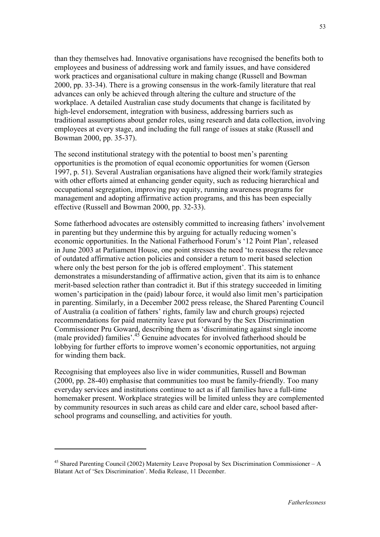than they themselves had. Innovative organisations have recognised the benefits both to employees and business of addressing work and family issues, and have considered work practices and organisational culture in making change (Russell and Bowman 2000, pp. 33-34). There is a growing consensus in the work-family literature that real advances can only be achieved through altering the culture and structure of the workplace. A detailed Australian case study documents that change is facilitated by high-level endorsement, integration with business, addressing barriers such as traditional assumptions about gender roles, using research and data collection, involving employees at every stage, and including the full range of issues at stake (Russell and Bowman 2000, pp. 35-37).

The second institutional strategy with the potential to boost men's parenting opportunities is the promotion of equal economic opportunities for women (Gerson 1997, p. 51). Several Australian organisations have aligned their work/family strategies with other efforts aimed at enhancing gender equity, such as reducing hierarchical and occupational segregation, improving pay equity, running awareness programs for management and adopting affirmative action programs, and this has been especially effective (Russell and Bowman 2000, pp. 32-33).

Some fatherhood advocates are ostensibly committed to increasing fathers' involvement in parenting but they undermine this by arguing for actually reducing women's economic opportunities. In the National Fatherhood Forum's '12 Point Plan', released in June 2003 at Parliament House, one point stresses the need 'to reassess the relevance of outdated affirmative action policies and consider a return to merit based selection where only the best person for the job is offered employment'. This statement demonstrates a misunderstanding of affirmative action, given that its aim is to enhance merit-based selection rather than contradict it. But if this strategy succeeded in limiting women's participation in the (paid) labour force, it would also limit men's participation in parenting. Similarly, in a December 2002 press release, the Shared Parenting Council of Australia (a coalition of fathers' rights, family law and church groups) rejected recommendations for paid maternity leave put forward by the Sex Discrimination Commissioner Pru Goward, describing them as 'discriminating against single income (male provided) families'.45 Genuine advocates for involved fatherhood should be lobbying for further efforts to improve women's economic opportunities, not arguing for winding them back.

Recognising that employees also live in wider communities, Russell and Bowman (2000, pp. 28-40) emphasise that communities too must be family-friendly. Too many everyday services and institutions continue to act as if all families have a full-time homemaker present. Workplace strategies will be limited unless they are complemented by community resources in such areas as child care and elder care, school based afterschool programs and counselling, and activities for youth.

 $45$  Shared Parenting Council (2002) Maternity Leave Proposal by Sex Discrimination Commissioner – A Blatant Act of 'Sex Discrimination'. Media Release, 11 December.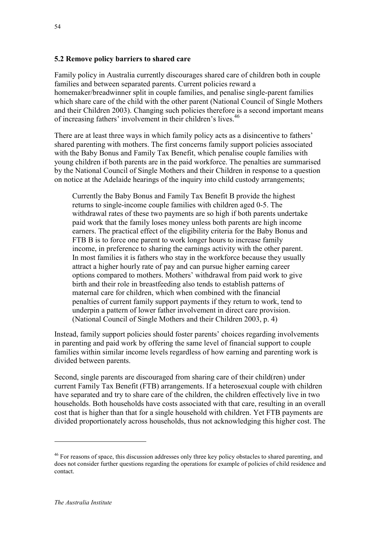#### **5.2 Remove policy barriers to shared care**

Family policy in Australia currently discourages shared care of children both in couple families and between separated parents. Current policies reward a homemaker/breadwinner split in couple families, and penalise single-parent families which share care of the child with the other parent (National Council of Single Mothers and their Children 2003). Changing such policies therefore is a second important means of increasing fathers' involvement in their children's lives.<sup>46</sup>

There are at least three ways in which family policy acts as a disincentive to fathers' shared parenting with mothers. The first concerns family support policies associated with the Baby Bonus and Family Tax Benefit, which penalise couple families with young children if both parents are in the paid workforce. The penalties are summarised by the National Council of Single Mothers and their Children in response to a question on notice at the Adelaide hearings of the inquiry into child custody arrangements;

Currently the Baby Bonus and Family Tax Benefit B provide the highest returns to single-income couple families with children aged 0-5. The withdrawal rates of these two payments are so high if both parents undertake paid work that the family loses money unless both parents are high income earners. The practical effect of the eligibility criteria for the Baby Bonus and FTB B is to force one parent to work longer hours to increase family income, in preference to sharing the earnings activity with the other parent. In most families it is fathers who stay in the workforce because they usually attract a higher hourly rate of pay and can pursue higher earning career options compared to mothers. Mothers' withdrawal from paid work to give birth and their role in breastfeeding also tends to establish patterns of maternal care for children, which when combined with the financial penalties of current family support payments if they return to work, tend to underpin a pattern of lower father involvement in direct care provision. (National Council of Single Mothers and their Children 2003, p. 4)

Instead, family support policies should foster parents' choices regarding involvements in parenting and paid work by offering the same level of financial support to couple families within similar income levels regardless of how earning and parenting work is divided between parents.

Second, single parents are discouraged from sharing care of their child(ren) under current Family Tax Benefit (FTB) arrangements. If a heterosexual couple with children have separated and try to share care of the children, the children effectively live in two households. Both households have costs associated with that care, resulting in an overall cost that is higher than that for a single household with children. Yet FTB payments are divided proportionately across households, thus not acknowledging this higher cost. The

<sup>&</sup>lt;sup>46</sup> For reasons of space, this discussion addresses only three key policy obstacles to shared parenting, and does not consider further questions regarding the operations for example of policies of child residence and contact.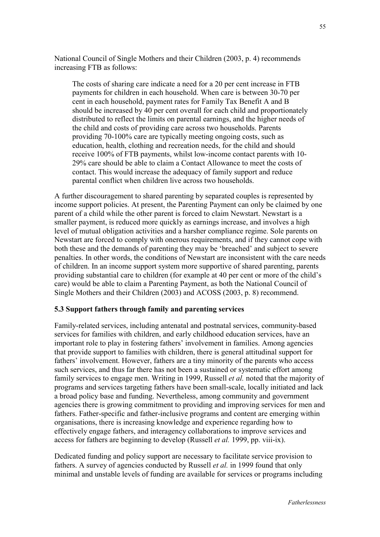National Council of Single Mothers and their Children (2003, p. 4) recommends increasing FTB as follows:

The costs of sharing care indicate a need for a 20 per cent increase in FTB payments for children in each household. When care is between 30-70 per cent in each household, payment rates for Family Tax Benefit A and B should be increased by 40 per cent overall for each child and proportionately distributed to reflect the limits on parental earnings, and the higher needs of the child and costs of providing care across two households. Parents providing 70-100% care are typically meeting ongoing costs, such as education, health, clothing and recreation needs, for the child and should receive 100% of FTB payments, whilst low-income contact parents with 10- 29% care should be able to claim a Contact Allowance to meet the costs of contact. This would increase the adequacy of family support and reduce parental conflict when children live across two households.

A further discouragement to shared parenting by separated couples is represented by income support policies. At present, the Parenting Payment can only be claimed by one parent of a child while the other parent is forced to claim Newstart. Newstart is a smaller payment, is reduced more quickly as earnings increase, and involves a high level of mutual obligation activities and a harsher compliance regime. Sole parents on Newstart are forced to comply with onerous requirements, and if they cannot cope with both these and the demands of parenting they may be 'breached' and subject to severe penalties. In other words, the conditions of Newstart are inconsistent with the care needs of children. In an income support system more supportive of shared parenting, parents providing substantial care to children (for example at 40 per cent or more of the child's care) would be able to claim a Parenting Payment, as both the National Council of Single Mothers and their Children (2003) and ACOSS (2003, p. 8) recommend.

#### **5.3 Support fathers through family and parenting services**

Family-related services, including antenatal and postnatal services, community-based services for families with children, and early childhood education services, have an important role to play in fostering fathers' involvement in families. Among agencies that provide support to families with children, there is general attitudinal support for fathers' involvement. However, fathers are a tiny minority of the parents who access such services, and thus far there has not been a sustained or systematic effort among family services to engage men. Writing in 1999, Russell *et al.* noted that the majority of programs and services targeting fathers have been small-scale, locally initiated and lack a broad policy base and funding. Nevertheless, among community and government agencies there is growing commitment to providing and improving services for men and fathers. Father-specific and father-inclusive programs and content are emerging within organisations, there is increasing knowledge and experience regarding how to effectively engage fathers, and interagency collaborations to improve services and access for fathers are beginning to develop (Russell *et al.* 1999, pp. viii-ix).

Dedicated funding and policy support are necessary to facilitate service provision to fathers. A survey of agencies conducted by Russell *et al.* in 1999 found that only minimal and unstable levels of funding are available for services or programs including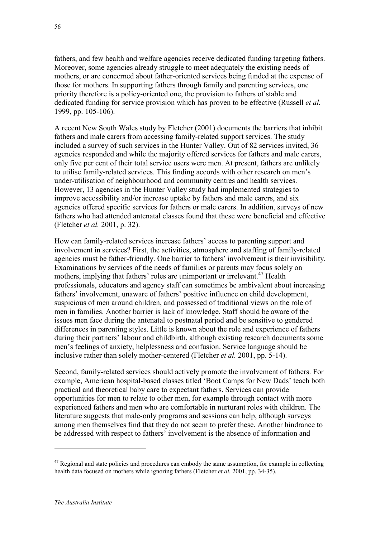fathers, and few health and welfare agencies receive dedicated funding targeting fathers. Moreover, some agencies already struggle to meet adequately the existing needs of mothers, or are concerned about father-oriented services being funded at the expense of those for mothers. In supporting fathers through family and parenting services, one priority therefore is a policy-oriented one, the provision to fathers of stable and dedicated funding for service provision which has proven to be effective (Russell *et al.* 1999, pp. 105-106).

A recent New South Wales study by Fletcher (2001) documents the barriers that inhibit fathers and male carers from accessing family-related support services. The study included a survey of such services in the Hunter Valley. Out of 82 services invited, 36 agencies responded and while the majority offered services for fathers and male carers, only five per cent of their total service users were men. At present, fathers are unlikely to utilise family-related services. This finding accords with other research on men's under-utilisation of neighbourhood and community centres and health services. However, 13 agencies in the Hunter Valley study had implemented strategies to improve accessibility and/or increase uptake by fathers and male carers, and six agencies offered specific services for fathers or male carers. In addition, surveys of new fathers who had attended antenatal classes found that these were beneficial and effective (Fletcher *et al.* 2001, p. 32).

How can family-related services increase fathers' access to parenting support and involvement in services? First, the activities, atmosphere and staffing of family-related agencies must be father-friendly. One barrier to fathers' involvement is their invisibility. Examinations by services of the needs of families or parents may focus solely on mothers, implying that fathers' roles are unimportant or irrelevant.<sup>47</sup> Health professionals, educators and agency staff can sometimes be ambivalent about increasing fathers' involvement, unaware of fathers' positive influence on child development, suspicious of men around children, and possessed of traditional views on the role of men in families. Another barrier is lack of knowledge. Staff should be aware of the issues men face during the antenatal to postnatal period and be sensitive to gendered differences in parenting styles. Little is known about the role and experience of fathers during their partners' labour and childbirth, although existing research documents some men's feelings of anxiety, helplessness and confusion. Service language should be inclusive rather than solely mother-centered (Fletcher *et al.* 2001, pp. 5-14).

Second, family-related services should actively promote the involvement of fathers. For example, American hospital-based classes titled 'Boot Camps for New Dads' teach both practical and theoretical baby care to expectant fathers. Services can provide opportunities for men to relate to other men, for example through contact with more experienced fathers and men who are comfortable in nurturant roles with children. The literature suggests that male-only programs and sessions can help, although surveys among men themselves find that they do not seem to prefer these. Another hindrance to be addressed with respect to fathers' involvement is the absence of information and

 $47$  Regional and state policies and procedures can embody the same assumption, for example in collecting health data focused on mothers while ignoring fathers (Fletcher *et al.* 2001, pp. 34-35).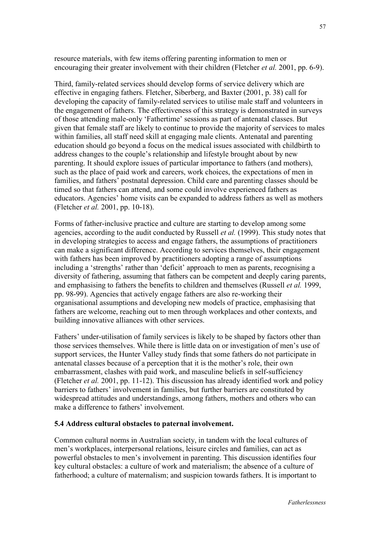resource materials, with few items offering parenting information to men or encouraging their greater involvement with their children (Fletcher *et al.* 2001, pp. 6-9).

Third, family-related services should develop forms of service delivery which are effective in engaging fathers. Fletcher, Siberberg, and Baxter (2001, p. 38) call for developing the capacity of family-related services to utilise male staff and volunteers in the engagement of fathers. The effectiveness of this strategy is demonstrated in surveys of those attending male-only 'Fathertime' sessions as part of antenatal classes. But given that female staff are likely to continue to provide the majority of services to males within families, all staff need skill at engaging male clients. Antenatal and parenting education should go beyond a focus on the medical issues associated with childbirth to address changes to the couple's relationship and lifestyle brought about by new parenting. It should explore issues of particular importance to fathers (and mothers), such as the place of paid work and careers, work choices, the expectations of men in families, and fathers' postnatal depression. Child care and parenting classes should be timed so that fathers can attend, and some could involve experienced fathers as educators. Agencies' home visits can be expanded to address fathers as well as mothers (Fletcher *et al.* 2001, pp. 10-18).

Forms of father-inclusive practice and culture are starting to develop among some agencies, according to the audit conducted by Russell *et al.* (1999). This study notes that in developing strategies to access and engage fathers, the assumptions of practitioners can make a significant difference. According to services themselves, their engagement with fathers has been improved by practitioners adopting a range of assumptions including a 'strengths' rather than 'deficit' approach to men as parents, recognising a diversity of fathering, assuming that fathers can be competent and deeply caring parents, and emphasising to fathers the benefits to children and themselves (Russell *et al.* 1999, pp. 98-99). Agencies that actively engage fathers are also re-working their organisational assumptions and developing new models of practice, emphasising that fathers are welcome, reaching out to men through workplaces and other contexts, and building innovative alliances with other services.

Fathers' under-utilisation of family services is likely to be shaped by factors other than those services themselves. While there is little data on or investigation of men's use of support services, the Hunter Valley study finds that some fathers do not participate in antenatal classes because of a perception that it is the mother's role, their own embarrassment, clashes with paid work, and masculine beliefs in self-sufficiency (Fletcher *et al.* 2001, pp. 11-12). This discussion has already identified work and policy barriers to fathers' involvement in families, but further barriers are constituted by widespread attitudes and understandings, among fathers, mothers and others who can make a difference to fathers' involvement.

#### **5.4 Address cultural obstacles to paternal involvement.**

Common cultural norms in Australian society, in tandem with the local cultures of men's workplaces, interpersonal relations, leisure circles and families, can act as powerful obstacles to men's involvement in parenting. This discussion identifies four key cultural obstacles: a culture of work and materialism; the absence of a culture of fatherhood; a culture of maternalism; and suspicion towards fathers. It is important to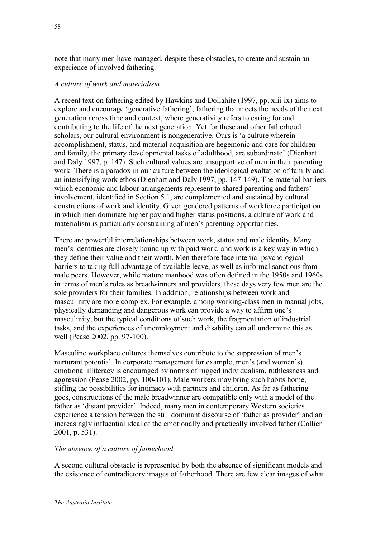note that many men have managed, despite these obstacles, to create and sustain an experience of involved fathering.

# *A culture of work and materialism*

A recent text on fathering edited by Hawkins and Dollahite (1997, pp. xiii-ix) aims to explore and encourage 'generative fathering', fathering that meets the needs of the next generation across time and context, where generativity refers to caring for and contributing to the life of the next generation. Yet for these and other fatherhood scholars, our cultural environment is nongenerative. Ours is 'a culture wherein accomplishment, status, and material acquisition are hegemonic and care for children and family, the primary developmental tasks of adulthood, are subordinate' (Dienhart and Daly 1997, p. 147). Such cultural values are unsupportive of men in their parenting work. There is a paradox in our culture between the ideological exaltation of family and an intensifying work ethos (Dienhart and Daly 1997, pp. 147-149). The material barriers which economic and labour arrangements represent to shared parenting and fathers' involvement, identified in Section 5.1, are complemented and sustained by cultural constructions of work and identity. Given gendered patterns of workforce participation in which men dominate higher pay and higher status positions, a culture of work and materialism is particularly constraining of men's parenting opportunities.

There are powerful interrelationships between work, status and male identity. Many men's identities are closely bound up with paid work, and work is a key way in which they define their value and their worth. Men therefore face internal psychological barriers to taking full advantage of available leave, as well as informal sanctions from male peers. However, while mature manhood was often defined in the 1950s and 1960s in terms of men's roles as breadwinners and providers, these days very few men are the sole providers for their families. In addition, relationships between work and masculinity are more complex. For example, among working-class men in manual jobs, physically demanding and dangerous work can provide a way to affirm one's masculinity, but the typical conditions of such work, the fragmentation of industrial tasks, and the experiences of unemployment and disability can all undermine this as well (Pease 2002, pp. 97-100).

Masculine workplace cultures themselves contribute to the suppression of men's nurturant potential. In corporate management for example, men's (and women's) emotional illiteracy is encouraged by norms of rugged individualism, ruthlessness and aggression (Pease 2002, pp. 100-101). Male workers may bring such habits home, stifling the possibilities for intimacy with partners and children. As far as fathering goes, constructions of the male breadwinner are compatible only with a model of the father as 'distant provider'. Indeed, many men in contemporary Western societies experience a tension between the still dominant discourse of 'father as provider' and an increasingly influential ideal of the emotionally and practically involved father (Collier 2001, p. 531).

# *The absence of a culture of fatherhood*

A second cultural obstacle is represented by both the absence of significant models and the existence of contradictory images of fatherhood. There are few clear images of what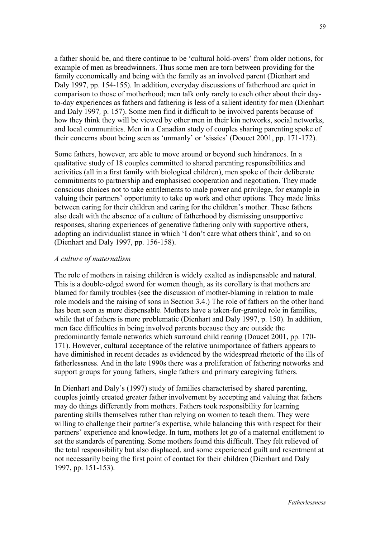a father should be, and there continue to be 'cultural hold-overs' from older notions, for example of men as breadwinners. Thus some men are torn between providing for the family economically and being with the family as an involved parent (Dienhart and Daly 1997, pp. 154-155). In addition, everyday discussions of fatherhood are quiet in comparison to those of motherhood; men talk only rarely to each other about their dayto-day experiences as fathers and fathering is less of a salient identity for men (Dienhart and Daly 1997*,* p. 157). Some men find it difficult to be involved parents because of how they think they will be viewed by other men in their kin networks, social networks, and local communities. Men in a Canadian study of couples sharing parenting spoke of their concerns about being seen as 'unmanly' or 'sissies' (Doucet 2001, pp. 171-172).

Some fathers, however, are able to move around or beyond such hindrances. In a qualitative study of 18 couples committed to shared parenting responsibilities and activities (all in a first family with biological children), men spoke of their deliberate commitments to partnership and emphasised cooperation and negotiation. They made conscious choices not to take entitlements to male power and privilege, for example in valuing their partners' opportunity to take up work and other options. They made links between caring for their children and caring for the children's mother. These fathers also dealt with the absence of a culture of fatherhood by dismissing unsupportive responses, sharing experiences of generative fathering only with supportive others, adopting an individualist stance in which 'I don't care what others think', and so on (Dienhart and Daly 1997, pp. 156-158).

#### *A culture of maternalism*

The role of mothers in raising children is widely exalted as indispensable and natural. This is a double-edged sword for women though, as its corollary is that mothers are blamed for family troubles (see the discussion of mother-blaming in relation to male role models and the raising of sons in Section 3.4.) The role of fathers on the other hand has been seen as more dispensable. Mothers have a taken-for-granted role in families, while that of fathers is more problematic (Dienhart and Daly 1997, p. 150). In addition, men face difficulties in being involved parents because they are outside the predominantly female networks which surround child rearing (Doucet 2001, pp. 170- 171). However, cultural acceptance of the relative unimportance of fathers appears to have diminished in recent decades as evidenced by the widespread rhetoric of the ills of fatherlessness. And in the late 1990s there was a proliferation of fathering networks and support groups for young fathers, single fathers and primary caregiving fathers.

In Dienhart and Daly's (1997) study of families characterised by shared parenting, couples jointly created greater father involvement by accepting and valuing that fathers may do things differently from mothers. Fathers took responsibility for learning parenting skills themselves rather than relying on women to teach them. They were willing to challenge their partner's expertise, while balancing this with respect for their partners' experience and knowledge. In turn, mothers let go of a maternal entitlement to set the standards of parenting. Some mothers found this difficult. They felt relieved of the total responsibility but also displaced, and some experienced guilt and resentment at not necessarily being the first point of contact for their children (Dienhart and Daly 1997, pp. 151-153).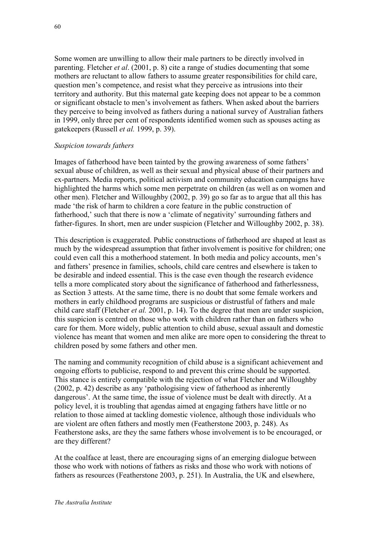Some women are unwilling to allow their male partners to be directly involved in parenting. Fletcher *et al*. (2001, p. 8) cite a range of studies documenting that some mothers are reluctant to allow fathers to assume greater responsibilities for child care, question men's competence, and resist what they perceive as intrusions into their territory and authority. But this maternal gate keeping does not appear to be a common or significant obstacle to men's involvement as fathers. When asked about the barriers they perceive to being involved as fathers during a national survey of Australian fathers in 1999, only three per cent of respondents identified women such as spouses acting as gatekeepers (Russell *et al.* 1999, p. 39).

#### *Suspicion towards fathers*

Images of fatherhood have been tainted by the growing awareness of some fathers' sexual abuse of children, as well as their sexual and physical abuse of their partners and ex-partners. Media reports, political activism and community education campaigns have highlighted the harms which some men perpetrate on children (as well as on women and other men). Fletcher and Willoughby (2002, p. 39) go so far as to argue that all this has made 'the risk of harm to children a core feature in the public construction of fatherhood,' such that there is now a 'climate of negativity' surrounding fathers and father-figures. In short, men are under suspicion (Fletcher and Willoughby 2002, p. 38).

This description is exaggerated. Public constructions of fatherhood are shaped at least as much by the widespread assumption that father involvement is positive for children; one could even call this a motherhood statement. In both media and policy accounts, men's and fathers' presence in families, schools, child care centres and elsewhere is taken to be desirable and indeed essential. This is the case even though the research evidence tells a more complicated story about the significance of fatherhood and fatherlessness, as Section 3 attests. At the same time, there is no doubt that some female workers and mothers in early childhood programs are suspicious or distrustful of fathers and male child care staff (Fletcher *et al.* 2001, p. 14). To the degree that men are under suspicion, this suspicion is centred on those who work with children rather than on fathers who care for them. More widely, public attention to child abuse, sexual assault and domestic violence has meant that women and men alike are more open to considering the threat to children posed by some fathers and other men.

The naming and community recognition of child abuse is a significant achievement and ongoing efforts to publicise, respond to and prevent this crime should be supported. This stance is entirely compatible with the rejection of what Fletcher and Willoughby (2002, p. 42) describe as any 'pathologising view of fatherhood as inherently dangerous'. At the same time, the issue of violence must be dealt with directly. At a policy level, it is troubling that agendas aimed at engaging fathers have little or no relation to those aimed at tackling domestic violence, although those individuals who are violent are often fathers and mostly men (Featherstone 2003, p. 248). As Featherstone asks, are they the same fathers whose involvement is to be encouraged, or are they different?

At the coalface at least, there are encouraging signs of an emerging dialogue between those who work with notions of fathers as risks and those who work with notions of fathers as resources (Featherstone 2003, p. 251). In Australia, the UK and elsewhere,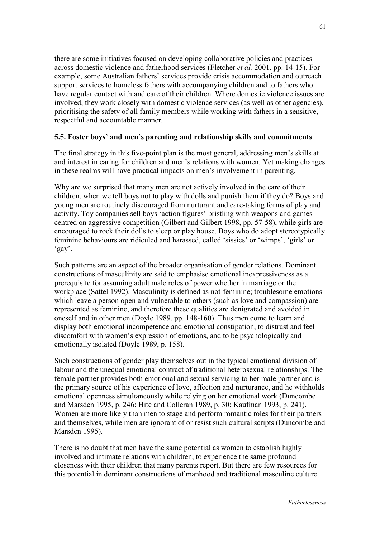there are some initiatives focused on developing collaborative policies and practices across domestic violence and fatherhood services (Fletcher *et al.* 2001, pp. 14-15). For example, some Australian fathers' services provide crisis accommodation and outreach support services to homeless fathers with accompanying children and to fathers who have regular contact with and care of their children. Where domestic violence issues are involved, they work closely with domestic violence services (as well as other agencies), prioritising the safety of all family members while working with fathers in a sensitive, respectful and accountable manner.

# **5.5. Foster boys' and men's parenting and relationship skills and commitments**

The final strategy in this five-point plan is the most general, addressing men's skills at and interest in caring for children and men's relations with women. Yet making changes in these realms will have practical impacts on men's involvement in parenting.

Why are we surprised that many men are not actively involved in the care of their children, when we tell boys not to play with dolls and punish them if they do? Boys and young men are routinely discouraged from nurturant and care-taking forms of play and activity. Toy companies sell boys 'action figures' bristling with weapons and games centred on aggressive competition (Gilbert and Gilbert 1998, pp. 57-58), while girls are encouraged to rock their dolls to sleep or play house. Boys who do adopt stereotypically feminine behaviours are ridiculed and harassed, called 'sissies' or 'wimps', 'girls' or 'gay'.

Such patterns are an aspect of the broader organisation of gender relations. Dominant constructions of masculinity are said to emphasise emotional inexpressiveness as a prerequisite for assuming adult male roles of power whether in marriage or the workplace (Sattel 1992). Masculinity is defined as not-feminine; troublesome emotions which leave a person open and vulnerable to others (such as love and compassion) are represented as feminine, and therefore these qualities are denigrated and avoided in oneself and in other men (Doyle 1989, pp. 148-160). Thus men come to learn and display both emotional incompetence and emotional constipation, to distrust and feel discomfort with women's expression of emotions, and to be psychologically and emotionally isolated (Doyle 1989, p. 158).

Such constructions of gender play themselves out in the typical emotional division of labour and the unequal emotional contract of traditional heterosexual relationships. The female partner provides both emotional and sexual servicing to her male partner and is the primary source of his experience of love, affection and nurturance, and he withholds emotional openness simultaneously while relying on her emotional work (Duncombe and Marsden 1995, p. 246; Hite and Colleran 1989, p. 30; Kaufman 1993, p. 241). Women are more likely than men to stage and perform romantic roles for their partners and themselves, while men are ignorant of or resist such cultural scripts (Duncombe and Marsden 1995).

There is no doubt that men have the same potential as women to establish highly involved and intimate relations with children, to experience the same profound closeness with their children that many parents report. But there are few resources for this potential in dominant constructions of manhood and traditional masculine culture.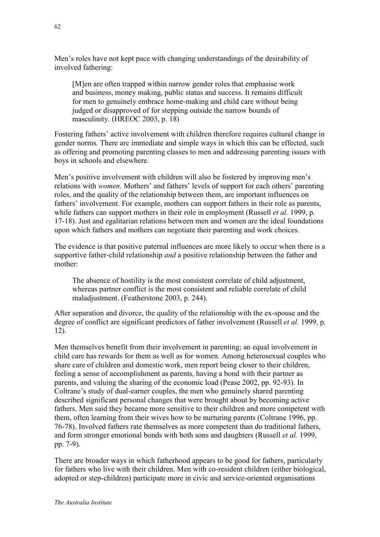Men's roles have not kept pace with changing understandings of the desirability of involved fathering:

[M]en are often trapped within narrow gender roles that emphasise work and business, money making, public status and success. It remains difficult for men to genuinely embrace home-making and child care without being judged or disapproved of for stepping outside the narrow bounds of masculinity. (HREOC 2003, p. 18)

Fostering fathers' active involvement with children therefore requires cultural change in gender norms. There are immediate and simple ways in which this can be effected, such as offering and promoting parenting classes to men and addressing parenting issues with boys in schools and elsewhere.

Men's positive involvement with children will also be fostered by improving men's relations with *women*. Mothers' and fathers' levels of support for each others' parenting roles, and the quality of the relationship between them, are important influences on fathers' involvement. For example, mothers can support fathers in their role as parents, while fathers can support mothers in their role in employment (Russell *et al.* 1999, p. 17-18). Just and egalitarian relations between men and women are the ideal foundations upon which fathers and mothers can negotiate their parenting and work choices.

The evidence is that positive paternal influences are more likely to occur when there is a supportive father-child relationship *and* a positive relationship between the father and mother:

The absence of hostility is the most consistent correlate of child adjustment, whereas partner conflict is the most consistent and reliable correlate of child maladjustment. (Featherstone 2003, p. 244).

After separation and divorce, the quality of the relationship with the ex-spouse and the degree of conflict are significant predictors of father involvement (Russell *et al.* 1999, p. 12).

Men themselves benefit from their involvement in parenting; an equal involvement in child care has rewards for them as well as for women. Among heterosexual couples who share care of children and domestic work, men report being closer to their children, feeling a sense of accomplishment as parents, having a bond with their partner as parents, and valuing the sharing of the economic load (Pease 2002, pp. 92-93). In Coltrane's study of dual-earner couples, the men who genuinely shared parenting described significant personal changes that were brought about by becoming active fathers. Men said they became more sensitive to their children and more competent with them, often learning from their wives how to be nurturing parents (Coltrane 1996, pp. 76-78). Involved fathers rate themselves as more competent than do traditional fathers, and form stronger emotional bonds with both sons and daughters (Russell *et al.* 1999, pp. 7-9).

There are broader ways in which fatherhood appears to be good for fathers, particularly for fathers who live with their children. Men with co-resident children (either biological, adopted or step-children) participate more in civic and service-oriented organisations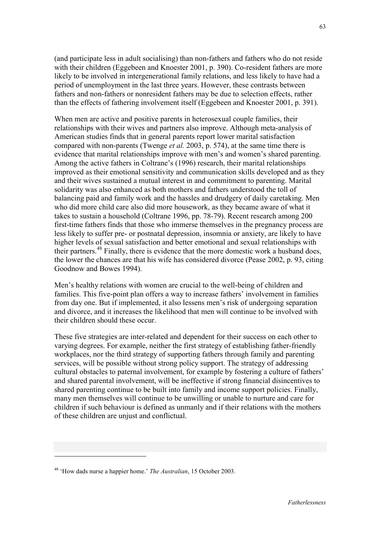(and participate less in adult socialising) than non-fathers and fathers who do not reside with their children (Eggebeen and Knoester 2001, p. 390). Co-resident fathers are more likely to be involved in intergenerational family relations, and less likely to have had a period of unemployment in the last three years. However, these contrasts between fathers and non-fathers or nonresident fathers may be due to selection effects, rather than the effects of fathering involvement itself (Eggebeen and Knoester 2001, p. 391).

When men are active and positive parents in heterosexual couple families, their relationships with their wives and partners also improve. Although meta-analysis of American studies finds that in general parents report lower marital satisfaction compared with non-parents (Twenge *et al.* 2003, p. 574), at the same time there is evidence that marital relationships improve with men's and women's shared parenting. Among the active fathers in Coltrane's (1996) research, their marital relationships improved as their emotional sensitivity and communication skills developed and as they and their wives sustained a mutual interest in and commitment to parenting. Marital solidarity was also enhanced as both mothers and fathers understood the toll of balancing paid and family work and the hassles and drudgery of daily caretaking. Men who did more child care also did more housework, as they became aware of what it takes to sustain a household (Coltrane 1996, pp. 78-79). Recent research among 200 first-time fathers finds that those who immerse themselves in the pregnancy process are less likely to suffer pre- or postnatal depression, insomnia or anxiety, are likely to have higher levels of sexual satisfaction and better emotional and sexual relationships with their partners.48 Finally, there is evidence that the more domestic work a husband does, the lower the chances are that his wife has considered divorce (Pease 2002, p. 93, citing Goodnow and Bowes 1994).

Men's healthy relations with women are crucial to the well-being of children and families. This five-point plan offers a way to increase fathers' involvement in families from day one. But if implemented, it also lessens men's risk of undergoing separation and divorce, and it increases the likelihood that men will continue to be involved with their children should these occur.

These five strategies are inter-related and dependent for their success on each other to varying degrees. For example, neither the first strategy of establishing father-friendly workplaces, nor the third strategy of supporting fathers through family and parenting services, will be possible without strong policy support. The strategy of addressing cultural obstacles to paternal involvement, for example by fostering a culture of fathers' and shared parental involvement, will be ineffective if strong financial disincentives to shared parenting continue to be built into family and income support policies. Finally, many men themselves will continue to be unwilling or unable to nurture and care for children if such behaviour is defined as unmanly and if their relations with the mothers of these children are unjust and conflictual.

<sup>48 &#</sup>x27;How dads nurse a happier home.' *The Australian*, 15 October 2003.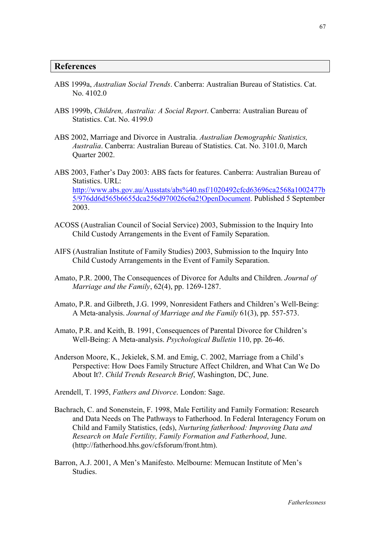#### **References**

- ABS 1999a, *Australian Social Trends*. Canberra: Australian Bureau of Statistics. Cat. No. 4102.0
- ABS 1999b, *Children, Australia: A Social Report*. Canberra: Australian Bureau of Statistics. Cat. No. 4199.0
- ABS 2002, Marriage and Divorce in Australia. *Australian Demographic Statistics, Australia*. Canberra: Australian Bureau of Statistics. Cat. No. 3101.0, March Quarter 2002.
- ABS 2003, Father's Day 2003: ABS facts for features. Canberra: Australian Bureau of Statistics. URL: [http://www.abs.gov.au/Ausstats/abs%40.nsf/1020492cfcd63696ca2568a1002477b](http://www.abs.gov.au/Ausstats/abs%40.nsf/1020492cfcd63696ca2568a1002477b5/976dd6d565b6655dca256d970026c6a2!OpenDocument) [5/976dd6d565b6655dca256d970026c6a2!OpenDocument.](http://www.abs.gov.au/Ausstats/abs%40.nsf/1020492cfcd63696ca2568a1002477b5/976dd6d565b6655dca256d970026c6a2!OpenDocument) Published 5 September 2003.
- ACOSS (Australian Council of Social Service) 2003, Submission to the Inquiry Into Child Custody Arrangements in the Event of Family Separation.
- AIFS (Australian Institute of Family Studies) 2003, Submission to the Inquiry Into Child Custody Arrangements in the Event of Family Separation.
- Amato, P.R. 2000, The Consequences of Divorce for Adults and Children. *Journal of Marriage and the Family*, 62(4), pp. 1269-1287.
- Amato, P.R. and Gilbreth, J.G. 1999, Nonresident Fathers and Children's Well-Being: A Meta-analysis. *Journal of Marriage and the Family* 61(3), pp. 557-573.
- Amato, P.R. and Keith, B. 1991, Consequences of Parental Divorce for Children's Well-Being: A Meta-analysis. *Psychological Bulletin* 110, pp. 26-46.
- Anderson Moore, K., Jekielek, S.M. and Emig, C. 2002, Marriage from a Child's Perspective: How Does Family Structure Affect Children, and What Can We Do About It?. *Child Trends Research Brief*, Washington, DC, June.
- Arendell, T. 1995, *Fathers and Divorce*. London: Sage.
- Bachrach, C. and Sonenstein, F. 1998, Male Fertility and Family Formation: Research and Data Needs on The Pathways to Fatherhood. In Federal Interagency Forum on Child and Family Statistics, (eds), *Nurturing fatherhood: Improving Data and Research on Male Fertility, Family Formation and Fatherhood*, June. (http://fatherhood.hhs.gov/cfsforum/front.htm).
- Barron, A.J. 2001, A Men's Manifesto. Melbourne: Memucan Institute of Men's **Studies**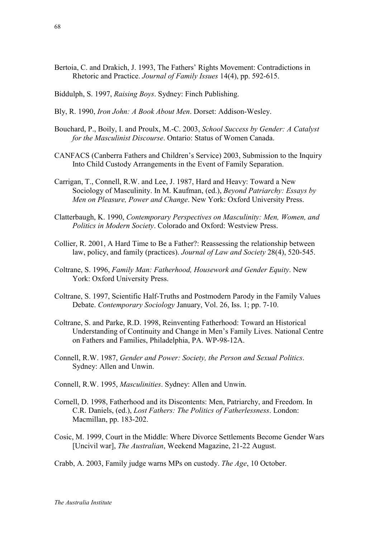- Bertoia, C. and Drakich, J. 1993, The Fathers' Rights Movement: Contradictions in Rhetoric and Practice. *Journal of Family Issues* 14(4), pp. 592-615.
- Biddulph, S. 1997, *Raising Boys*. Sydney: Finch Publishing.
- Bly, R. 1990, *Iron John: A Book About Men*. Dorset: Addison-Wesley.
- Bouchard, P., Boily, I. and Proulx, M.-C. 2003, *School Success by Gender: A Catalyst for the Masculinist Discourse*. Ontario: Status of Women Canada.
- CANFACS (Canberra Fathers and Children's Service) 2003, Submission to the Inquiry Into Child Custody Arrangements in the Event of Family Separation.
- Carrigan, T., Connell, R.W. and Lee, J. 1987, Hard and Heavy: Toward a New Sociology of Masculinity. In M. Kaufman, (ed.), *Beyond Patriarchy: Essays by Men on Pleasure, Power and Change*. New York: Oxford University Press.
- Clatterbaugh, K. 1990, *Contemporary Perspectives on Masculinity: Men, Women, and Politics in Modern Society*. Colorado and Oxford: Westview Press.
- Collier, R. 2001, A Hard Time to Be a Father?: Reassessing the relationship between law, policy, and family (practices). *Journal of Law and Society* 28(4), 520-545.
- Coltrane, S. 1996, *Family Man: Fatherhood, Housework and Gender Equity*. New York: Oxford University Press.
- Coltrane, S. 1997, Scientific Half-Truths and Postmodern Parody in the Family Values Debate. *Contemporary Sociology* January, Vol. 26, Iss. 1; pp. 7-10.
- Coltrane, S. and Parke, R.D. 1998, Reinventing Fatherhood: Toward an Historical Understanding of Continuity and Change in Men's Family Lives. National Centre on Fathers and Families, Philadelphia, PA. WP-98-12A.
- Connell, R.W. 1987, *Gender and Power: Society, the Person and Sexual Politics*. Sydney: Allen and Unwin.
- Connell, R.W. 1995, *Masculinities*. Sydney: Allen and Unwin.
- Cornell, D. 1998, Fatherhood and its Discontents: Men, Patriarchy, and Freedom. In C.R. Daniels, (ed.), *Lost Fathers: The Politics of Fatherlessness*. London: Macmillan, pp. 183-202.
- Cosic, M. 1999, Court in the Middle: Where Divorce Settlements Become Gender Wars [Uncivil war], *The Australian*, Weekend Magazine, 21-22 August.

Crabb, A. 2003, Family judge warns MPs on custody. *The Age*, 10 October.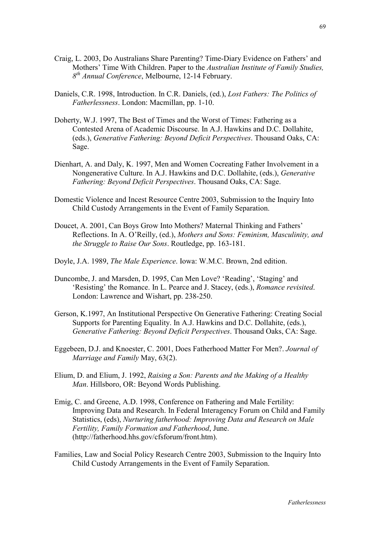- Craig, L. 2003, Do Australians Share Parenting? Time-Diary Evidence on Fathers' and Mothers' Time With Children. Paper to the *Australian Institute of Family Studies, 8th Annual Conference*, Melbourne, 12-14 February.
- Daniels, C.R. 1998, Introduction. In C.R. Daniels, (ed.), *Lost Fathers: The Politics of Fatherlessness*. London: Macmillan, pp. 1-10.
- Doherty, W.J. 1997, The Best of Times and the Worst of Times: Fathering as a Contested Arena of Academic Discourse. In A.J. Hawkins and D.C. Dollahite, (eds.), *Generative Fathering: Beyond Deficit Perspectives*. Thousand Oaks, CA: Sage.
- Dienhart, A. and Daly, K. 1997, Men and Women Cocreating Father Involvement in a Nongenerative Culture. In A.J. Hawkins and D.C. Dollahite, (eds.), *Generative Fathering: Beyond Deficit Perspectives*. Thousand Oaks, CA: Sage.
- Domestic Violence and Incest Resource Centre 2003, Submission to the Inquiry Into Child Custody Arrangements in the Event of Family Separation.
- Doucet, A. 2001, Can Boys Grow Into Mothers? Maternal Thinking and Fathers' Reflections. In A. O'Reilly, (ed.), *Mothers and Sons: Feminism, Masculinity, and the Struggle to Raise Our Sons*. Routledge, pp. 163-181.
- Doyle, J.A. 1989, *The Male Experience*. Iowa: W.M.C. Brown, 2nd edition.
- Duncombe, J. and Marsden, D. 1995, Can Men Love? 'Reading', 'Staging' and 'Resisting' the Romance. In L. Pearce and J. Stacey, (eds.), *Romance revisited*. London: Lawrence and Wishart, pp. 238-250.
- Gerson, K.1997, An Institutional Perspective On Generative Fathering: Creating Social Supports for Parenting Equality. In A.J. Hawkins and D.C. Dollahite, (eds.), *Generative Fathering: Beyond Deficit Perspectives*. Thousand Oaks, CA: Sage.
- Eggebeen, D.J. and Knoester, C. 2001, Does Fatherhood Matter For Men?. *Journal of Marriage and Family* May, 63(2).
- Elium, D. and Elium, J. 1992, *Raising a Son: Parents and the Making of a Healthy Man*. Hillsboro, OR: Beyond Words Publishing.
- Emig, C. and Greene, A.D. 1998, Conference on Fathering and Male Fertility: Improving Data and Research. In Federal Interagency Forum on Child and Family Statistics, (eds), *Nurturing fatherhood: Improving Data and Research on Male Fertility, Family Formation and Fatherhood*, June. (http://fatherhood.hhs.gov/cfsforum/front.htm).
- Families, Law and Social Policy Research Centre 2003, Submission to the Inquiry Into Child Custody Arrangements in the Event of Family Separation.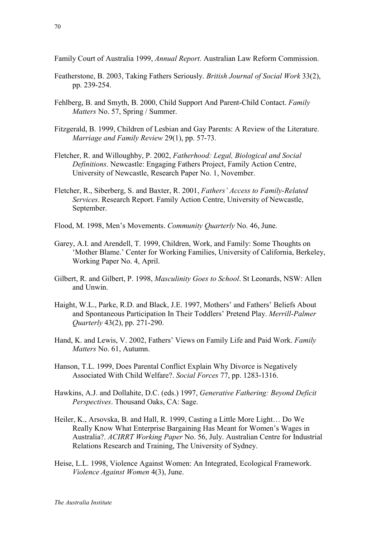Family Court of Australia 1999, *Annual Report*. Australian Law Reform Commission.

- Featherstone, B. 2003, Taking Fathers Seriously. *British Journal of Social Work* 33(2), pp. 239-254.
- Fehlberg, B. and Smyth, B. 2000, Child Support And Parent-Child Contact. *Family Matters* No. 57, Spring / Summer.
- Fitzgerald, B. 1999, Children of Lesbian and Gay Parents: A Review of the Literature. *Marriage and Family Review* 29(1), pp. 57-73.
- Fletcher, R. and Willoughby, P. 2002, *Fatherhood: Legal, Biological and Social Definitions*. Newcastle: Engaging Fathers Project, Family Action Centre, University of Newcastle, Research Paper No. 1, November.
- Fletcher, R., Siberberg, S. and Baxter, R. 2001, *Fathers' Access to Family-Related Services*. Research Report. Family Action Centre, University of Newcastle, September.
- Flood, M. 1998, Men's Movements. *Community Quarterly* No. 46, June.
- Garey, A.I. and Arendell, T. 1999, Children, Work, and Family: Some Thoughts on 'Mother Blame.' Center for Working Families, University of California, Berkeley, Working Paper No. 4, April.
- Gilbert, R. and Gilbert, P. 1998, *Masculinity Goes to School*. St Leonards, NSW: Allen and Unwin.
- Haight, W.L., Parke, R.D. and Black, J.E. 1997, Mothers' and Fathers' Beliefs About and Spontaneous Participation In Their Toddlers' Pretend Play. *Merrill-Palmer Quarterly* 43(2), pp. 271-290.
- Hand, K. and Lewis, V. 2002, Fathers' Views on Family Life and Paid Work. *Family Matters* No. 61, Autumn.
- Hanson, T.L. 1999, Does Parental Conflict Explain Why Divorce is Negatively Associated With Child Welfare?. *Social Forces* 77, pp. 1283-1316.
- Hawkins, A.J. and Dollahite, D.C. (eds.) 1997, *Generative Fathering: Beyond Deficit Perspectives*. Thousand Oaks, CA: Sage.
- Heiler, K., Arsovska, B. and Hall, R. 1999, Casting a Little More Light… Do We Really Know What Enterprise Bargaining Has Meant for Women's Wages in Australia?. *ACIRRT Working Paper* No. 56, July. Australian Centre for Industrial Relations Research and Training, The University of Sydney.
- Heise, L.L. 1998, Violence Against Women: An Integrated, Ecological Framework. *Violence Against Women* 4(3), June.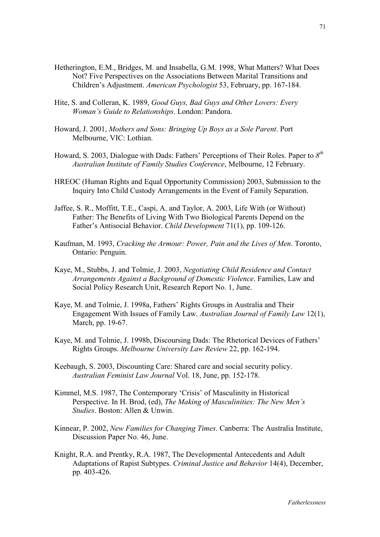- Hetherington, E.M., Bridges, M. and Insabella, G.M. 1998, What Matters? What Does Not? Five Perspectives on the Associations Between Marital Transitions and Children's Adjustment. *American Psychologist* 53, February, pp. 167-184.
- Hite, S. and Colleran, K. 1989, *Good Guys, Bad Guys and Other Lovers: Every Woman's Guide to Relationships*. London: Pandora.
- Howard, J. 2001, *Mothers and Sons: Bringing Up Boys as a Sole Parent*. Port Melbourne, VIC: Lothian.
- Howard, S. 2003, Dialogue with Dads: Fathers' Perceptions of Their Roles. Paper to *8th Australian Institute of Family Studies Conference*, Melbourne, 12 February.
- HREOC (Human Rights and Equal Opportunity Commission) 2003, Submission to the Inquiry Into Child Custody Arrangements in the Event of Family Separation.
- Jaffee, S. R., Moffitt, T.E., Caspi, A. and Taylor, A. 2003, Life With (or Without) Father: The Benefits of Living With Two Biological Parents Depend on the Father's Antisocial Behavior. *Child Development* 71(1), pp. 109-126.
- Kaufman, M. 1993, *Cracking the Armour: Power, Pain and the Lives of Men*. Toronto, Ontario: Penguin.
- Kaye, M., Stubbs, J. and Tolmie, J. 2003, *Negotiating Child Residence and Contact Arrangements Against a Background of Domestic Violence*. Families, Law and Social Policy Research Unit, Research Report No. 1, June.
- Kaye, M. and Tolmie, J. 1998a, Fathers' Rights Groups in Australia and Their Engagement With Issues of Family Law. *Australian Journal of Family Law* 12(1), March, pp. 19-67.
- Kaye, M. and Tolmie, J. 1998b, Discoursing Dads: The Rhetorical Devices of Fathers' Rights Groups. *Melbourne University Law Review* 22, pp. 162-194.
- Keebaugh, S. 2003, Discounting Care: Shared care and social security policy. *Australian Feminist Law Journal* Vol. 18, June, pp. 152-178.
- Kimmel, M.S. 1987, The Contemporary 'Crisis' of Masculinity in Historical Perspective. In H. Brod, (ed), *The Making of Masculinities: The New Men's Studies*. Boston: Allen & Unwin.
- Kinnear, P. 2002, *New Families for Changing Times*. Canberra: The Australia Institute, Discussion Paper No. 46, June.
- Knight, R.A. and Prentky, R.A. 1987, The Developmental Antecedents and Adult Adaptations of Rapist Subtypes. *Criminal Justice and Behavior* 14(4), December, pp. 403-426.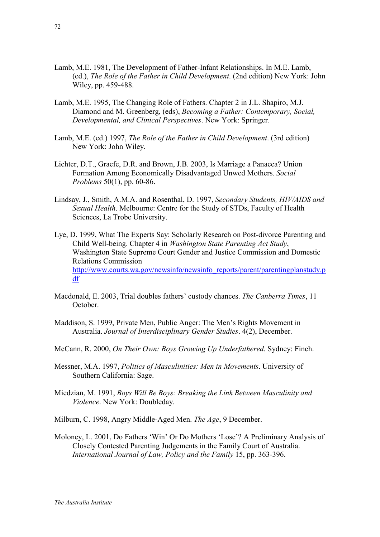- Lamb, M.E. 1981, The Development of Father-Infant Relationships. In M.E. Lamb, (ed.), *The Role of the Father in Child Development*. (2nd edition) New York: John Wiley, pp. 459-488.
- Lamb, M.E. 1995, The Changing Role of Fathers. Chapter 2 in J.L. Shapiro, M.J. Diamond and M. Greenberg, (eds), *Becoming a Father: Contemporary, Social, Developmental, and Clinical Perspectives*. New York: Springer.
- Lamb, M.E. (ed.) 1997, *The Role of the Father in Child Development*. (3rd edition) New York: John Wiley.
- Lichter, D.T., Graefe, D.R. and Brown, J.B. 2003, Is Marriage a Panacea? Union Formation Among Economically Disadvantaged Unwed Mothers. *Social Problems* 50(1), pp. 60-86.
- Lindsay, J., Smith, A.M.A. and Rosenthal, D. 1997, *Secondary Students, HIV/AIDS and Sexual Health*. Melbourne: Centre for the Study of STDs, Faculty of Health Sciences, La Trobe University.
- Lye, D. 1999, What The Experts Say: Scholarly Research on Post-divorce Parenting and Child Well-being. Chapter 4 in *Washington State Parenting Act Study*, Washington State Supreme Court Gender and Justice Commission and Domestic Relations Commission [http://www.courts.wa.gov/newsinfo/newsinfo\\_reports/parent/parentingplanstudy.p](http://www.courts.wa.gov/newsinfo/newsinfo_reports/parent/parentingplanstudy.pdf) d[f](http://www.courts.wa.gov/newsinfo/newsinfo_reports/parent/parentingplanstudy.pdf)
- Macdonald, E. 2003, Trial doubles fathers' custody chances. *The Canberra Times*, 11 October.
- Maddison, S. 1999, Private Men, Public Anger: The Men's Rights Movement in Australia. *Journal of Interdisciplinary Gender Studies*. 4(2), December.
- McCann, R. 2000, *On Their Own: Boys Growing Up Underfathered*. Sydney: Finch.
- Messner, M.A. 1997, *Politics of Masculinities: Men in Movements*. University of Southern California: Sage.
- Miedzian, M. 1991, *Boys Will Be Boys: Breaking the Link Between Masculinity and Violence*. New York: Doubleday.
- Milburn, C. 1998, Angry Middle-Aged Men. *The Age*, 9 December.
- Moloney, L. 2001, Do Fathers 'Win' Or Do Mothers 'Lose'? A Preliminary Analysis of Closely Contested Parenting Judgements in the Family Court of Australia. *International Journal of Law, Policy and the Family* 15, pp. 363-396.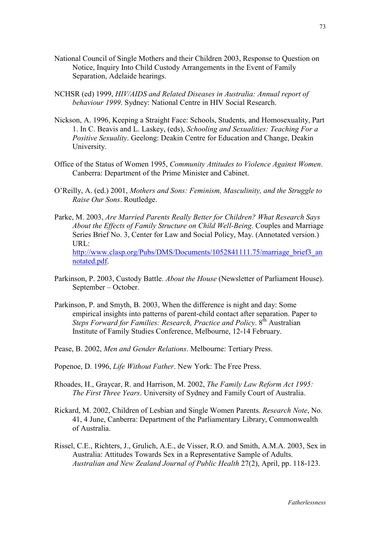- National Council of Single Mothers and their Children 2003, Response to Question on Notice, Inquiry Into Child Custody Arrangements in the Event of Family Separation, Adelaide hearings.
- NCHSR (ed) 1999, *HIV/AIDS and Related Diseases in Australia: Annual report of behaviour 1999*. Sydney: National Centre in HIV Social Research.
- Nickson, A. 1996, Keeping a Straight Face: Schools, Students, and Homosexuality, Part 1. In C. Beavis and L. Laskey, (eds), *Schooling and Sexualities: Teaching For a Positive Sexuality*. Geelong: Deakin Centre for Education and Change, Deakin University.
- Office of the Status of Women 1995, *Community Attitudes to Violence Against Women*. Canberra: Department of the Prime Minister and Cabinet.
- O'Reilly, A. (ed.) 2001, *Mothers and Sons: Feminism, Masculinity, and the Struggle to Raise Our Sons*. Routledge.
- Parke, M. 2003, *Are Married Parents Really Better for Children? What Research Says About the Effects of Family Structure on Child Well-Being*. Couples and Marriage Series Brief No. 3, Center for Law and Social Policy, May. (Annotated version.) URL: [http://www.clasp.org/Pubs/DMS/Documents/1052841111.75/marriage\\_brief3\\_an](http://www.clasp.org/Pubs/DMS/Documents/1052841111.75/marriage_brief3_annotated.pdf) [notated.pdf.](http://www.clasp.org/Pubs/DMS/Documents/1052841111.75/marriage_brief3_annotated.pdf)
- Parkinson, P. 2003, Custody Battle. *About the House* (Newsletter of Parliament House). September – October.
- Parkinson, P. and Smyth, B. 2003, When the difference is night and day: Some empirical insights into patterns of parent-child contact after separation. Paper to *Steps Forward for Families: Research, Practice and Policy.* 8<sup>th</sup> Australian Institute of Family Studies Conference, Melbourne, 12-14 February.
- Pease, B. 2002, *Men and Gender Relations*. Melbourne: Tertiary Press.
- Popenoe, D. 1996, *Life Without Father*. New York: The Free Press.
- Rhoades, H., Graycar, R. and Harrison, M. 2002, *The Family Law Reform Act 1995: The First Three Years*. University of Sydney and Family Court of Australia.
- Rickard, M. 2002, Children of Lesbian and Single Women Parents. *Research Note*, No. 41, 4 June, Canberra: Department of the Parliamentary Library, Commonwealth of Australia.
- Rissel, C.E., Richters, J., Grulich, A.E., de Visser, R.O. and Smith, A.M.A. 2003, Sex in Australia: Attitudes Towards Sex in a Representative Sample of Adults. *Australian and New Zealand Journal of Public Health* 27(2), April, pp. 118-123.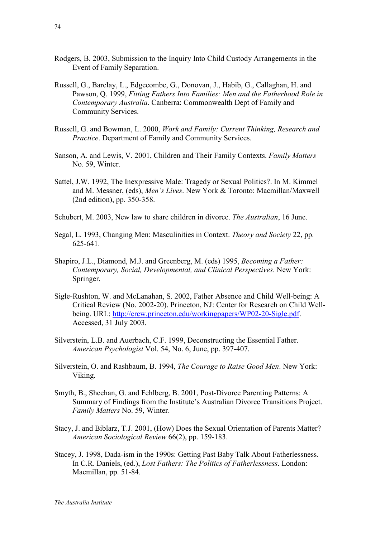- Rodgers, B. 2003, Submission to the Inquiry Into Child Custody Arrangements in the Event of Family Separation.
- Russell, G., Barclay, L., Edgecombe, G., Donovan, J., Habib, G., Callaghan, H. and Pawson, Q. 1999, *Fitting Fathers Into Families: Men and the Fatherhood Role in Contemporary Australia*. Canberra: Commonwealth Dept of Family and Community Services.
- Russell, G. and Bowman, L. 2000, *Work and Family: Current Thinking, Research and Practice*. Department of Family and Community Services.
- Sanson, A. and Lewis, V. 2001, Children and Their Family Contexts. *Family Matters* No. 59, Winter.
- Sattel, J.W. 1992, The Inexpressive Male: Tragedy or Sexual Politics?. In M. Kimmel and M. Messner, (eds), *Men's Lives*. New York & Toronto: Macmillan/Maxwell (2nd edition), pp. 350-358.
- Schubert, M. 2003, New law to share children in divorce. *The Australian*, 16 June.
- Segal, L. 1993, Changing Men: Masculinities in Context. *Theory and Society* 22, pp. 625-641.
- Shapiro, J.L., Diamond, M.J. and Greenberg, M. (eds) 1995, *Becoming a Father: Contemporary, Social, Developmental, and Clinical Perspectives*. New York: Springer.
- Sigle-Rushton, W. and McLanahan, S. 2002, Father Absence and Child Well-being: A Critical Review (No. 2002-20). Princeton, NJ: Center for Research on Child Wellbeing. URL: [http://crcw.princeton.edu/workingpapers/WP02-20-Sigle.pdf.](http://crcw.princeton.edu/workingpapers/WP02-20-Sigle.pdf) Accessed, 31 July 2003.
- Silverstein, L.B. and Auerbach, C.F. 1999, Deconstructing the Essential Father. *American Psychologist* Vol. 54, No. 6, June, pp. 397-407.
- Silverstein, O. and Rashbaum, B. 1994, *The Courage to Raise Good Men*. New York: Viking.
- Smyth, B., Sheehan, G. and Fehlberg, B. 2001, Post-Divorce Parenting Patterns: A Summary of Findings from the Institute's Australian Divorce Transitions Project. *Family Matters* No. 59, Winter.
- Stacy, J. and Biblarz, T.J. 2001, (How) Does the Sexual Orientation of Parents Matter? *American Sociological Review* 66(2), pp. 159-183.
- Stacey, J. 1998, Dada-ism in the 1990s: Getting Past Baby Talk About Fatherlessness. In C.R. Daniels, (ed.), *Lost Fathers: The Politics of Fatherlessness*. London: Macmillan, pp. 51-84.